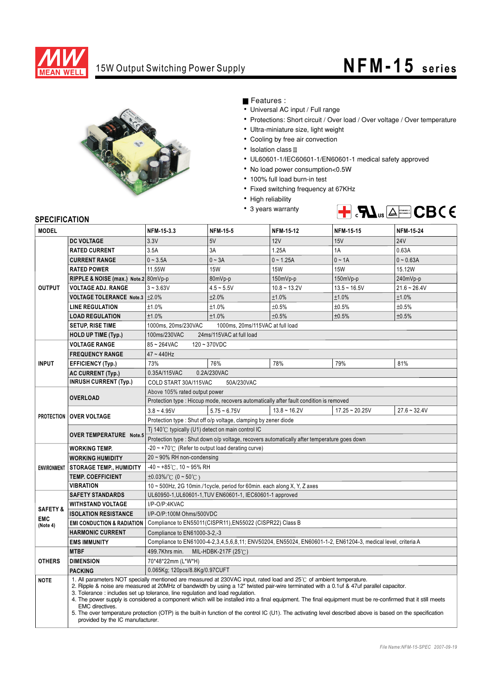

## 15W Output Switching Power Supply **NFM -15** series



Features :

- Universal AC input / Full range
- Protections: Short circuit / Over load / Over voltage / Over temperature
- Ultra-miniature size, light weight
- Cooling by free air convection
- $\cdot$  Isolation class  $\mathbb I$
- UL60601-1/IEC60601-1/EN60601-1 medical safety approved
- No load power consumption<0.5W
- 100% full load burn-in test
- Fixed switching frequency at 67KHz
- High reliability
- 3 years warranty



## **SPECIFICATION**

| <b>MODEL</b>        |                                                                                                                                                                                                                                                                                                                                                                                                                                                                                                                                                                                                                                                                                                                                        | NFM-15-3.3                                                                                                                          | <b>NFM-15-5</b> | <b>NFM-15-12</b> | <b>NFM-15-15</b> | <b>NFM-15-24</b> |
|---------------------|----------------------------------------------------------------------------------------------------------------------------------------------------------------------------------------------------------------------------------------------------------------------------------------------------------------------------------------------------------------------------------------------------------------------------------------------------------------------------------------------------------------------------------------------------------------------------------------------------------------------------------------------------------------------------------------------------------------------------------------|-------------------------------------------------------------------------------------------------------------------------------------|-----------------|------------------|------------------|------------------|
|                     | <b>DC VOLTAGE</b>                                                                                                                                                                                                                                                                                                                                                                                                                                                                                                                                                                                                                                                                                                                      | 3.3V                                                                                                                                | 5V              | <b>12V</b>       | 15V              | <b>24V</b>       |
| <b>OUTPUT</b>       | <b>RATED CURRENT</b>                                                                                                                                                                                                                                                                                                                                                                                                                                                                                                                                                                                                                                                                                                                   | 3.5A                                                                                                                                | 3A              | 1.25A            | 1A               | 0.63A            |
|                     | <b>CURRENT RANGE</b>                                                                                                                                                                                                                                                                                                                                                                                                                                                                                                                                                                                                                                                                                                                   | $0 - 3.5A$                                                                                                                          | $0 - 3A$        | $0 - 1.25A$      | $0 \sim 1A$      | $0 - 0.63A$      |
|                     | <b>RATED POWER</b>                                                                                                                                                                                                                                                                                                                                                                                                                                                                                                                                                                                                                                                                                                                     | 11.55W                                                                                                                              | <b>15W</b>      | <b>15W</b>       | <b>15W</b>       | 15.12W           |
|                     | RIPPLE & NOISE (max.) Note.2 80mVp-p                                                                                                                                                                                                                                                                                                                                                                                                                                                                                                                                                                                                                                                                                                   |                                                                                                                                     | 80mVp-p         | 150mVp-p         | 150mVp-p         | 240mVp-p         |
|                     | <b>VOLTAGE ADJ. RANGE</b>                                                                                                                                                                                                                                                                                                                                                                                                                                                                                                                                                                                                                                                                                                              | $3 - 3.63V$                                                                                                                         | $4.5 - 5.5V$    | $10.8 - 13.2V$   | $13.5 - 16.5V$   | $21.6 - 26.4V$   |
|                     | VOLTAGE TOLERANCE Note.3 ±2.0%                                                                                                                                                                                                                                                                                                                                                                                                                                                                                                                                                                                                                                                                                                         |                                                                                                                                     | ±2.0%           | ±1.0%            | ±1.0%            | ±1.0%            |
|                     | <b>LINE REGULATION</b>                                                                                                                                                                                                                                                                                                                                                                                                                                                                                                                                                                                                                                                                                                                 | ±1.0%                                                                                                                               | ±1.0%           | ±0.5%            | ±0.5%            | ±0.5%            |
|                     | <b>LOAD REGULATION</b>                                                                                                                                                                                                                                                                                                                                                                                                                                                                                                                                                                                                                                                                                                                 | ±1.0%                                                                                                                               | ±1.0%           | ±0.5%            | ±0.5%            | ±0.5%            |
|                     | <b>SETUP, RISE TIME</b>                                                                                                                                                                                                                                                                                                                                                                                                                                                                                                                                                                                                                                                                                                                | 1000ms, 20ms/230VAC<br>1000ms. 20ms/115VAC at full load                                                                             |                 |                  |                  |                  |
|                     | <b>HOLD UP TIME (Typ.)</b>                                                                                                                                                                                                                                                                                                                                                                                                                                                                                                                                                                                                                                                                                                             | 100ms/230VAC<br>24ms/115VAC at full load                                                                                            |                 |                  |                  |                  |
|                     | <b>VOLTAGE RANGE</b>                                                                                                                                                                                                                                                                                                                                                                                                                                                                                                                                                                                                                                                                                                                   | 85~264VAC<br>$120 - 370 VDC$                                                                                                        |                 |                  |                  |                  |
| <b>INPUT</b>        | <b>FREQUENCY RANGE</b>                                                                                                                                                                                                                                                                                                                                                                                                                                                                                                                                                                                                                                                                                                                 | $47 - 440$ Hz                                                                                                                       |                 |                  |                  |                  |
|                     | <b>EFFICIENCY (Typ.)</b>                                                                                                                                                                                                                                                                                                                                                                                                                                                                                                                                                                                                                                                                                                               | 73%                                                                                                                                 | 76%             | 78%              | 79%              | 81%              |
|                     | <b>AC CURRENT (Typ.)</b>                                                                                                                                                                                                                                                                                                                                                                                                                                                                                                                                                                                                                                                                                                               | 0.35A/115VAC<br>0.2A/230VAC                                                                                                         |                 |                  |                  |                  |
|                     | <b>INRUSH CURRENT (Typ.)</b>                                                                                                                                                                                                                                                                                                                                                                                                                                                                                                                                                                                                                                                                                                           | COLD START 30A/115VAC<br>50A/230VAC                                                                                                 |                 |                  |                  |                  |
|                     | <b>OVERLOAD</b>                                                                                                                                                                                                                                                                                                                                                                                                                                                                                                                                                                                                                                                                                                                        | Above 105% rated output power                                                                                                       |                 |                  |                  |                  |
|                     |                                                                                                                                                                                                                                                                                                                                                                                                                                                                                                                                                                                                                                                                                                                                        | Protection type : Hiccup mode, recovers automatically after fault condition is removed                                              |                 |                  |                  |                  |
|                     | <b>PROTECTION OVER VOLTAGE</b>                                                                                                                                                                                                                                                                                                                                                                                                                                                                                                                                                                                                                                                                                                         | $3.8 - 4.95V$                                                                                                                       | $5.75 - 6.75V$  | $13.8 - 16.2V$   | $17.25 - 20.25V$ | $27.6 - 32.4V$   |
|                     |                                                                                                                                                                                                                                                                                                                                                                                                                                                                                                                                                                                                                                                                                                                                        | Protection type: Shut off o/p voltage, clamping by zener diode                                                                      |                 |                  |                  |                  |
|                     | <b>OVER TEMPERATURE Note.5</b>                                                                                                                                                                                                                                                                                                                                                                                                                                                                                                                                                                                                                                                                                                         | Ti 140 $\degree$ C typically (U1) detect on main control IC                                                                         |                 |                  |                  |                  |
|                     |                                                                                                                                                                                                                                                                                                                                                                                                                                                                                                                                                                                                                                                                                                                                        | Protection type : Shut down o/p voltage, recovers automatically after temperature goes down                                         |                 |                  |                  |                  |
| <b>ENVIRONMENT</b>  | <b>WORKING TEMP.</b>                                                                                                                                                                                                                                                                                                                                                                                                                                                                                                                                                                                                                                                                                                                   | $-20 \sim +70^{\circ}$ (Refer to output load derating curve)                                                                        |                 |                  |                  |                  |
|                     | <b>WORKING HUMIDITY</b>                                                                                                                                                                                                                                                                                                                                                                                                                                                                                                                                                                                                                                                                                                                | 20~90% RH non-condensing                                                                                                            |                 |                  |                  |                  |
|                     | <b>STORAGE TEMP., HUMIDITY</b>                                                                                                                                                                                                                                                                                                                                                                                                                                                                                                                                                                                                                                                                                                         | $-40 \sim +85^{\circ}$ C, 10 ~ 95% RH                                                                                               |                 |                  |                  |                  |
|                     | <b>TEMP. COEFFICIENT</b>                                                                                                                                                                                                                                                                                                                                                                                                                                                                                                                                                                                                                                                                                                               | $\pm 0.03\%$ /°C (0 ~ 50°C)                                                                                                         |                 |                  |                  |                  |
|                     | <b>VIBRATION</b>                                                                                                                                                                                                                                                                                                                                                                                                                                                                                                                                                                                                                                                                                                                       | 10 ~ 500Hz, 2G 10min./1cycle, period for 60min. each along X, Y, Z axes<br>UL60950-1, UL60601-1, TUV EN60601-1, IEC60601-1 approved |                 |                  |                  |                  |
|                     | <b>SAFETY STANDARDS</b>                                                                                                                                                                                                                                                                                                                                                                                                                                                                                                                                                                                                                                                                                                                |                                                                                                                                     |                 |                  |                  |                  |
| <b>SAFETY &amp;</b> | <b>WITHSTAND VOLTAGE</b><br>I/P-O/P:4KVAC                                                                                                                                                                                                                                                                                                                                                                                                                                                                                                                                                                                                                                                                                              |                                                                                                                                     |                 |                  |                  |                  |
| <b>EMC</b>          | <b>ISOLATION RESISTANCE</b>                                                                                                                                                                                                                                                                                                                                                                                                                                                                                                                                                                                                                                                                                                            | I/P-O/P:100M Ohms/500VDC<br>Compliance to EN55011(CISPR11), EN55022 (CISPR22) Class B                                               |                 |                  |                  |                  |
| (Note 4)            | <b>EMI CONDUCTION &amp; RADIATION</b>                                                                                                                                                                                                                                                                                                                                                                                                                                                                                                                                                                                                                                                                                                  |                                                                                                                                     |                 |                  |                  |                  |
|                     | <b>HARMONIC CURRENT</b><br>Compliance to EN61000-3-2,-3                                                                                                                                                                                                                                                                                                                                                                                                                                                                                                                                                                                                                                                                                |                                                                                                                                     |                 |                  |                  |                  |
|                     | <b>EMS IMMUNITY</b>                                                                                                                                                                                                                                                                                                                                                                                                                                                                                                                                                                                                                                                                                                                    | Compliance to EN61000-4-2, 3, 4, 5, 6, 8, 11; ENV50204, EN55024, EN60601-1-2, EN61204-3, medical level, criteria A                  |                 |                  |                  |                  |
|                     | <b>MTBF</b>                                                                                                                                                                                                                                                                                                                                                                                                                                                                                                                                                                                                                                                                                                                            | MIL-HDBK-217F (25℃)<br>499.7Khrs min.                                                                                               |                 |                  |                  |                  |
| <b>OTHERS</b>       | <b>DIMENSION</b>                                                                                                                                                                                                                                                                                                                                                                                                                                                                                                                                                                                                                                                                                                                       | 70*48*22mm (L*W*H)                                                                                                                  |                 |                  |                  |                  |
|                     | <b>PACKING</b>                                                                                                                                                                                                                                                                                                                                                                                                                                                                                                                                                                                                                                                                                                                         | 0.065Kg; 120pcs/8.8Kg/0.97CUFT                                                                                                      |                 |                  |                  |                  |
| <b>NOTE</b>         | 1. All parameters NOT specially mentioned are measured at 230VAC input, rated load and 25°C of ambient temperature.<br>2. Ripple & noise are measured at 20MHz of bandwidth by using a 12" twisted pair-wire terminated with a 0.1uf & 47uf parallel capacitor.<br>3. Tolerance : includes set up tolerance, line regulation and load regulation.<br>4. The power supply is considered a component which will be installed into a final equipment. The final equipment must be re-confirmed that it still meets<br>EMC directives.<br>5. The over temperature protection (OTP) is the built-in function of the control IC (U1). The activating level described above is based on the specification<br>provided by the IC manufacturer. |                                                                                                                                     |                 |                  |                  |                  |
|                     |                                                                                                                                                                                                                                                                                                                                                                                                                                                                                                                                                                                                                                                                                                                                        |                                                                                                                                     |                 |                  |                  |                  |
|                     |                                                                                                                                                                                                                                                                                                                                                                                                                                                                                                                                                                                                                                                                                                                                        |                                                                                                                                     |                 |                  |                  |                  |
|                     |                                                                                                                                                                                                                                                                                                                                                                                                                                                                                                                                                                                                                                                                                                                                        |                                                                                                                                     |                 |                  |                  |                  |
|                     |                                                                                                                                                                                                                                                                                                                                                                                                                                                                                                                                                                                                                                                                                                                                        |                                                                                                                                     |                 |                  |                  |                  |